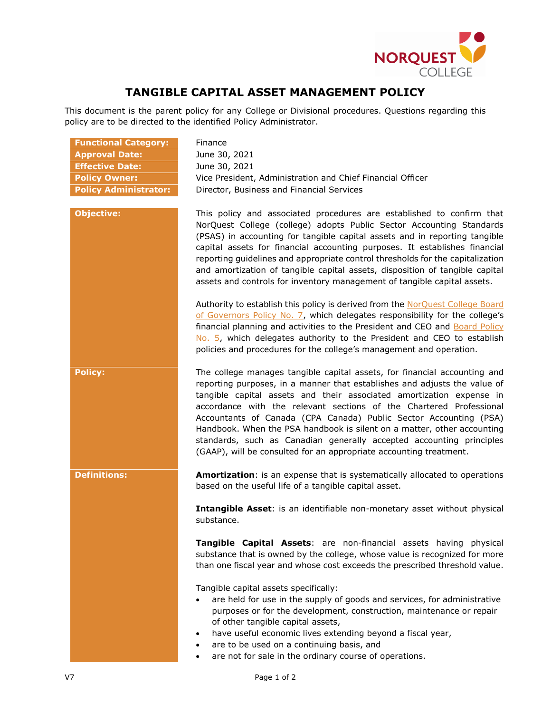

## **TANGIBLE CAPITAL ASSET MANAGEMENT POLICY**

This document is the parent policy for any College or Divisional procedures. Questions regarding this policy are to be directed to the identified Policy Administrator.

| <b>Functional Category:</b>  |
|------------------------------|
| <b>Approval Date:</b>        |
| <b>Effective Date:</b>       |
| <b>Policy Owner:</b>         |
| <b>Policy Administrator:</b> |

**Finance Approval Date:** June 30, 2021 **Effective Date:** June 30, 2021 **Policy Owner:** Vice President, Administration and Chief Financial Officer **Policy Administrator:** Director, Business and Financial Services



**Objective:** This policy and associated procedures are established to confirm that NorQuest College (college) adopts Public Sector Accounting Standards (PSAS) in accounting for tangible capital assets and in reporting tangible capital assets for financial accounting purposes. It establishes financial reporting guidelines and appropriate control thresholds for the capitalization and amortization of tangible capital assets, disposition of tangible capital assets and controls for inventory management of tangible capital assets.

> Authority to establish this policy is derived from the NorQuest College Board [of Governors Policy No. 7,](https://www.norquest.ca/NorquestCollege/media/pdf/about-us/board/policies-procedures/07-Board-Policy_The_President_CEO_Plans_and_Reports_on_College_Financial_Activities.pdf) which delegates responsibility for the college's financial planning and activities to the President and CEO and Board Policy [No. 5,](https://www.norquest.ca/NorquestCollege/media/pdf/about-us/board/policies-procedures/05-Board-Policy_Delegate_authority_to_President.pdf) which delegates authority to the President and CEO to establish policies and procedures for the college's management and operation.

**Policy:** The college manages tangible capital assets, for financial accounting and reporting purposes, in a manner that establishes and adjusts the value of tangible capital assets and their associated amortization expense in accordance with the relevant sections of the Chartered Professional Accountants of Canada (CPA Canada) Public Sector Accounting (PSA) Handbook. When the PSA handbook is silent on a matter, other accounting standards, such as Canadian generally accepted accounting principles (GAAP), will be consulted for an appropriate accounting treatment.

**Definitions: Amortization**: is an expense that is systematically allocated to operations based on the useful life of a tangible capital asset.

> **Intangible Asset**: is an identifiable non-monetary asset without physical substance.

> **Tangible Capital Assets**: are non-financial assets having physical substance that is owned by the college, whose value is recognized for more than one fiscal year and whose cost exceeds the prescribed threshold value.

Tangible capital assets specifically:

- are held for use in the supply of goods and services, for administrative purposes or for the development, construction, maintenance or repair of other tangible capital assets,
- have useful economic lives extending beyond a fiscal year,
- are to be used on a continuing basis, and
- are not for sale in the ordinary course of operations.